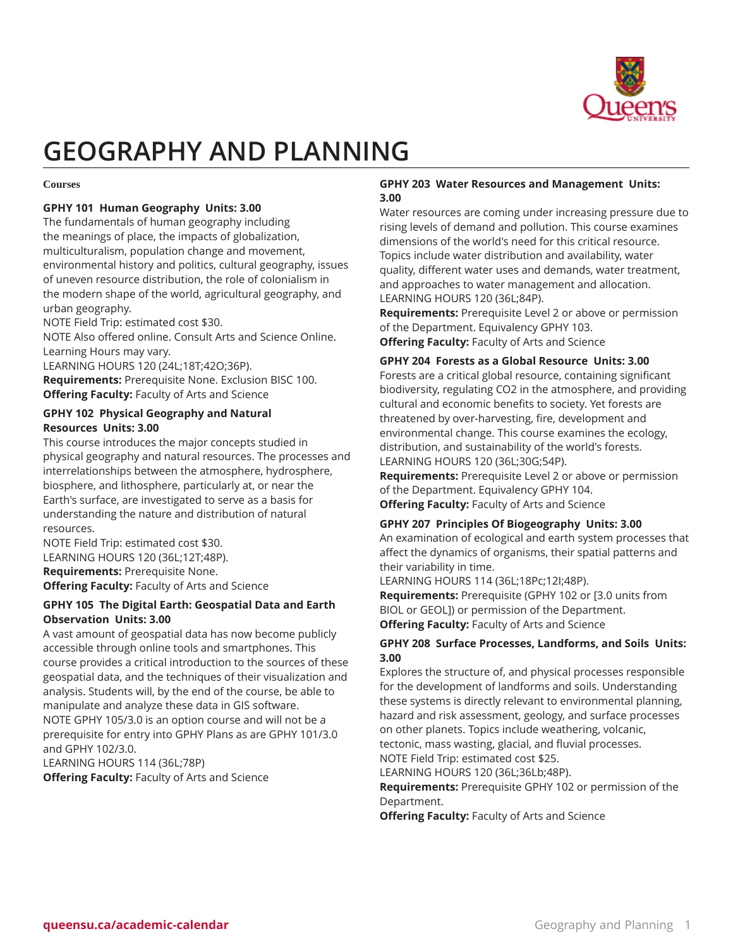

# **GEOGRAPHY AND PLANNING**

#### **Courses**

# **GPHY 101 Human Geography Units: 3.00**

The fundamentals of human geography including the meanings of place, the impacts of globalization, multiculturalism, population change and movement, environmental history and politics, cultural geography, issues of uneven resource distribution, the role of colonialism in the modern shape of the world, agricultural geography, and urban geography.

NOTE Field Trip: estimated cost \$30.

NOTE Also offered online. Consult Arts and Science Online. Learning Hours may vary.

LEARNING HOURS 120 (24L;18T;42O;36P). **Requirements:** Prerequisite None. Exclusion BISC 100. **Offering Faculty:** Faculty of Arts and Science

# **GPHY 102 Physical Geography and Natural Resources Units: 3.00**

This course introduces the major concepts studied in physical geography and natural resources. The processes and interrelationships between the atmosphere, hydrosphere, biosphere, and lithosphere, particularly at, or near the Earth's surface, are investigated to serve as a basis for understanding the nature and distribution of natural resources.

NOTE Field Trip: estimated cost \$30. LEARNING HOURS 120 (36L;12T;48P). **Requirements:** Prerequisite None.

**Offering Faculty:** Faculty of Arts and Science

# **GPHY 105 The Digital Earth: Geospatial Data and Earth Observation Units: 3.00**

A vast amount of geospatial data has now become publicly accessible through online tools and smartphones. This course provides a critical introduction to the sources of these geospatial data, and the techniques of their visualization and analysis. Students will, by the end of the course, be able to manipulate and analyze these data in GIS software. NOTE GPHY 105/3.0 is an option course and will not be a prerequisite for entry into GPHY Plans as are GPHY 101/3.0 and GPHY 102/3.0.

LEARNING HOURS 114 (36L;78P)

**Offering Faculty:** Faculty of Arts and Science

# **GPHY 203 Water Resources and Management Units: 3.00**

Water resources are coming under increasing pressure due to rising levels of demand and pollution. This course examines dimensions of the world's need for this critical resource. Topics include water distribution and availability, water quality, different water uses and demands, water treatment, and approaches to water management and allocation. LEARNING HOURS 120 (36L;84P).

**Requirements:** Prerequisite Level 2 or above or permission of the Department. Equivalency GPHY 103. **Offering Faculty:** Faculty of Arts and Science

# **GPHY 204 Forests as a Global Resource Units: 3.00**

Forests are a critical global resource, containing significant biodiversity, regulating CO2 in the atmosphere, and providing cultural and economic benefits to society. Yet forests are threatened by over-harvesting, fire, development and environmental change. This course examines the ecology, distribution, and sustainability of the world's forests. LEARNING HOURS 120 (36L;30G;54P).

**Requirements:** Prerequisite Level 2 or above or permission of the Department. Equivalency GPHY 104.

**Offering Faculty:** Faculty of Arts and Science

# **GPHY 207 Principles Of Biogeography Units: 3.00**

An examination of ecological and earth system processes that affect the dynamics of organisms, their spatial patterns and their variability in time.

LEARNING HOURS 114 (36L;18Pc;12I;48P).

**Requirements:** Prerequisite (GPHY 102 or [3.0 units from BIOL or GEOL]) or permission of the Department. **Offering Faculty:** Faculty of Arts and Science

# **GPHY 208 Surface Processes, Landforms, and Soils Units: 3.00**

Explores the structure of, and physical processes responsible for the development of landforms and soils. Understanding these systems is directly relevant to environmental planning, hazard and risk assessment, geology, and surface processes on other planets. Topics include weathering, volcanic, tectonic, mass wasting, glacial, and fluvial processes.

NOTE Field Trip: estimated cost \$25.

LEARNING HOURS 120 (36L;36Lb;48P).

**Requirements:** Prerequisite GPHY 102 or permission of the Department.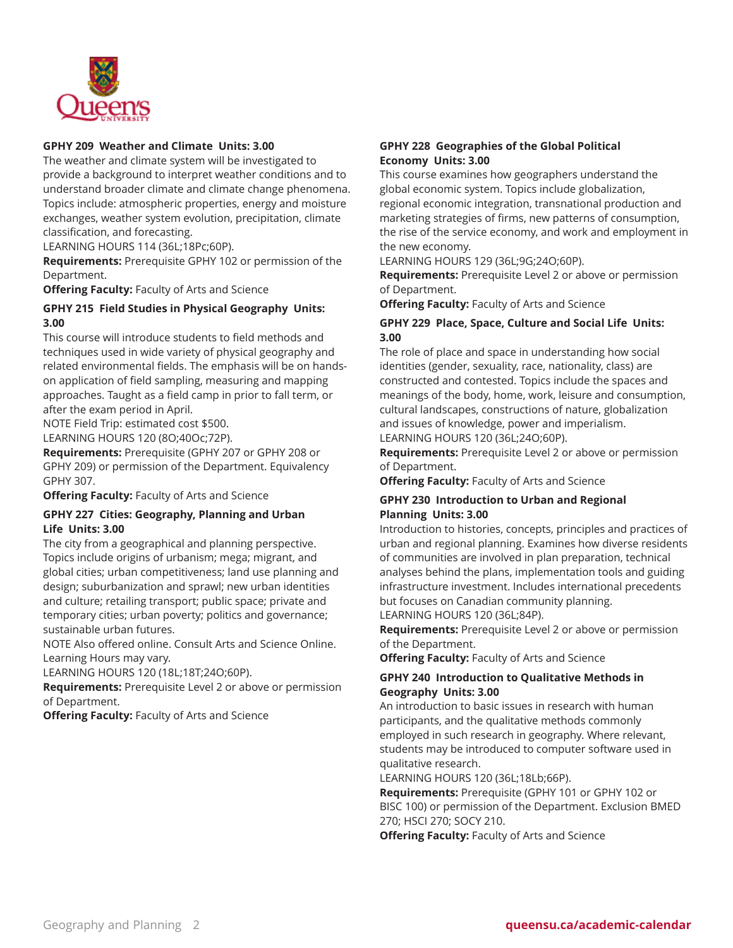

### **GPHY 209 Weather and Climate Units: 3.00**

The weather and climate system will be investigated to provide a background to interpret weather conditions and to understand broader climate and climate change phenomena. Topics include: atmospheric properties, energy and moisture exchanges, weather system evolution, precipitation, climate classification, and forecasting.

LEARNING HOURS 114 (36L;18Pc;60P).

**Requirements:** Prerequisite GPHY 102 or permission of the Department.

**Offering Faculty:** Faculty of Arts and Science

# **GPHY 215 Field Studies in Physical Geography Units: 3.00**

This course will introduce students to field methods and techniques used in wide variety of physical geography and related environmental fields. The emphasis will be on handson application of field sampling, measuring and mapping approaches. Taught as a field camp in prior to fall term, or after the exam period in April.

NOTE Field Trip: estimated cost \$500.

LEARNING HOURS 120 (8O;40Oc;72P).

**Requirements:** Prerequisite (GPHY 207 or GPHY 208 or GPHY 209) or permission of the Department. Equivalency GPHY 307.

**Offering Faculty:** Faculty of Arts and Science

#### **GPHY 227 Cities: Geography, Planning and Urban Life Units: 3.00**

The city from a geographical and planning perspective. Topics include origins of urbanism; mega; migrant, and global cities; urban competitiveness; land use planning and design; suburbanization and sprawl; new urban identities and culture; retailing transport; public space; private and temporary cities; urban poverty; politics and governance; sustainable urban futures.

NOTE Also offered online. Consult Arts and Science Online. Learning Hours may vary.

LEARNING HOURS 120 (18L;18T;24O;60P).

**Requirements:** Prerequisite Level 2 or above or permission of Department.

**Offering Faculty:** Faculty of Arts and Science

#### **GPHY 228 Geographies of the Global Political Economy Units: 3.00**

This course examines how geographers understand the global economic system. Topics include globalization, regional economic integration, transnational production and marketing strategies of firms, new patterns of consumption, the rise of the service economy, and work and employment in the new economy.

LEARNING HOURS 129 (36L;9G;24O;60P).

**Requirements:** Prerequisite Level 2 or above or permission of Department.

**Offering Faculty:** Faculty of Arts and Science

# **GPHY 229 Place, Space, Culture and Social Life Units: 3.00**

The role of place and space in understanding how social identities (gender, sexuality, race, nationality, class) are constructed and contested. Topics include the spaces and meanings of the body, home, work, leisure and consumption, cultural landscapes, constructions of nature, globalization and issues of knowledge, power and imperialism. LEARNING HOURS 120 (36L;24O;60P).

**Requirements:** Prerequisite Level 2 or above or permission of Department.

**Offering Faculty:** Faculty of Arts and Science

# **GPHY 230 Introduction to Urban and Regional Planning Units: 3.00**

Introduction to histories, concepts, principles and practices of urban and regional planning. Examines how diverse residents of communities are involved in plan preparation, technical analyses behind the plans, implementation tools and guiding infrastructure investment. Includes international precedents but focuses on Canadian community planning. LEARNING HOURS 120 (36L;84P).

**Requirements:** Prerequisite Level 2 or above or permission of the Department.

**Offering Faculty:** Faculty of Arts and Science

### **GPHY 240 Introduction to Qualitative Methods in Geography Units: 3.00**

An introduction to basic issues in research with human participants, and the qualitative methods commonly employed in such research in geography. Where relevant, students may be introduced to computer software used in qualitative research.

LEARNING HOURS 120 (36L;18Lb;66P).

**Requirements:** Prerequisite (GPHY 101 or GPHY 102 or BISC 100) or permission of the Department. Exclusion BMED 270; HSCI 270; SOCY 210.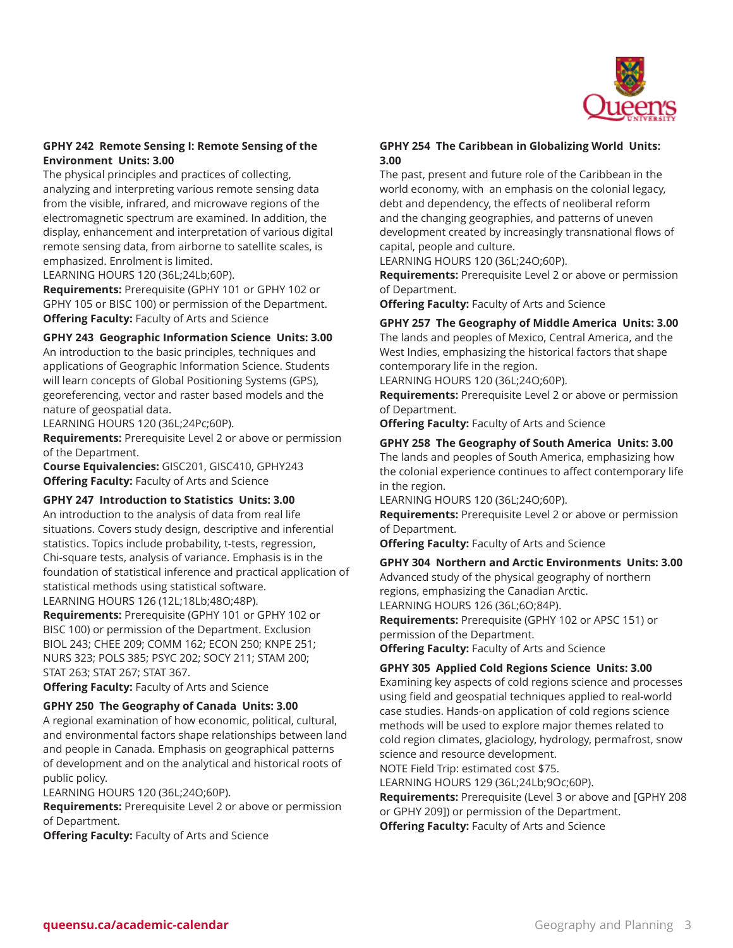

# **GPHY 242 Remote Sensing I: Remote Sensing of the Environment Units: 3.00**

The physical principles and practices of collecting, analyzing and interpreting various remote sensing data from the visible, infrared, and microwave regions of the electromagnetic spectrum are examined. In addition, the display, enhancement and interpretation of various digital remote sensing data, from airborne to satellite scales, is emphasized. Enrolment is limited.

LEARNING HOURS 120 (36L;24Lb;60P).

**Requirements:** Prerequisite (GPHY 101 or GPHY 102 or GPHY 105 or BISC 100) or permission of the Department. **Offering Faculty:** Faculty of Arts and Science

# **GPHY 243 Geographic Information Science Units: 3.00**

An introduction to the basic principles, techniques and applications of Geographic Information Science. Students will learn concepts of Global Positioning Systems (GPS), georeferencing, vector and raster based models and the nature of geospatial data.

LEARNING HOURS 120 (36L;24Pc;60P).

**Requirements:** Prerequisite Level 2 or above or permission of the Department.

**Course Equivalencies:** GISC201, GISC410, GPHY243 **Offering Faculty:** Faculty of Arts and Science

### **GPHY 247 Introduction to Statistics Units: 3.00**

An introduction to the analysis of data from real life situations. Covers study design, descriptive and inferential statistics. Topics include probability, t-tests, regression, Chi-square tests, analysis of variance. Emphasis is in the foundation of statistical inference and practical application of statistical methods using statistical software. LEARNING HOURS 126 (12L;18Lb;48O;48P).

**Requirements:** Prerequisite (GPHY 101 or GPHY 102 or BISC 100) or permission of the Department. Exclusion BIOL 243; CHEE 209; COMM 162; ECON 250; KNPE 251; NURS 323; POLS 385; PSYC 202; SOCY 211; STAM 200; STAT 263; STAT 267; STAT 367.

**Offering Faculty:** Faculty of Arts and Science

### **GPHY 250 The Geography of Canada Units: 3.00**

A regional examination of how economic, political, cultural, and environmental factors shape relationships between land and people in Canada. Emphasis on geographical patterns of development and on the analytical and historical roots of public policy.

LEARNING HOURS 120 (36L;24O;60P).

**Requirements:** Prerequisite Level 2 or above or permission of Department.

**Offering Faculty:** Faculty of Arts and Science

# **GPHY 254 The Caribbean in Globalizing World Units: 3.00**

The past, present and future role of the Caribbean in the world economy, with an emphasis on the colonial legacy, debt and dependency, the effects of neoliberal reform and the changing geographies, and patterns of uneven development created by increasingly transnational flows of capital, people and culture.

LEARNING HOURS 120 (36L;24O;60P).

**Requirements:** Prerequisite Level 2 or above or permission of Department.

**Offering Faculty:** Faculty of Arts and Science

# **GPHY 257 The Geography of Middle America Units: 3.00**

The lands and peoples of Mexico, Central America, and the West Indies, emphasizing the historical factors that shape contemporary life in the region.

LEARNING HOURS 120 (36L;24O;60P).

**Requirements:** Prerequisite Level 2 or above or permission of Department.

**Offering Faculty:** Faculty of Arts and Science

#### **GPHY 258 The Geography of South America Units: 3.00**

The lands and peoples of South America, emphasizing how the colonial experience continues to affect contemporary life in the region.

LEARNING HOURS 120 (36L;24O;60P).

**Requirements:** Prerequisite Level 2 or above or permission of Department.

**Offering Faculty:** Faculty of Arts and Science

**GPHY 304 Northern and Arctic Environments Units: 3.00** Advanced study of the physical geography of northern regions, emphasizing the Canadian Arctic.

LEARNING HOURS 126 (36L;6O;84P).

**Requirements:** Prerequisite (GPHY 102 or APSC 151) or permission of the Department.

**Offering Faculty:** Faculty of Arts and Science

### **GPHY 305 Applied Cold Regions Science Units: 3.00**

Examining key aspects of cold regions science and processes using field and geospatial techniques applied to real-world case studies. Hands-on application of cold regions science methods will be used to explore major themes related to cold region climates, glaciology, hydrology, permafrost, snow science and resource development.

NOTE Field Trip: estimated cost \$75.

LEARNING HOURS 129 (36L;24Lb;9Oc;60P).

**Requirements:** Prerequisite (Level 3 or above and [GPHY 208 or GPHY 209]) or permission of the Department.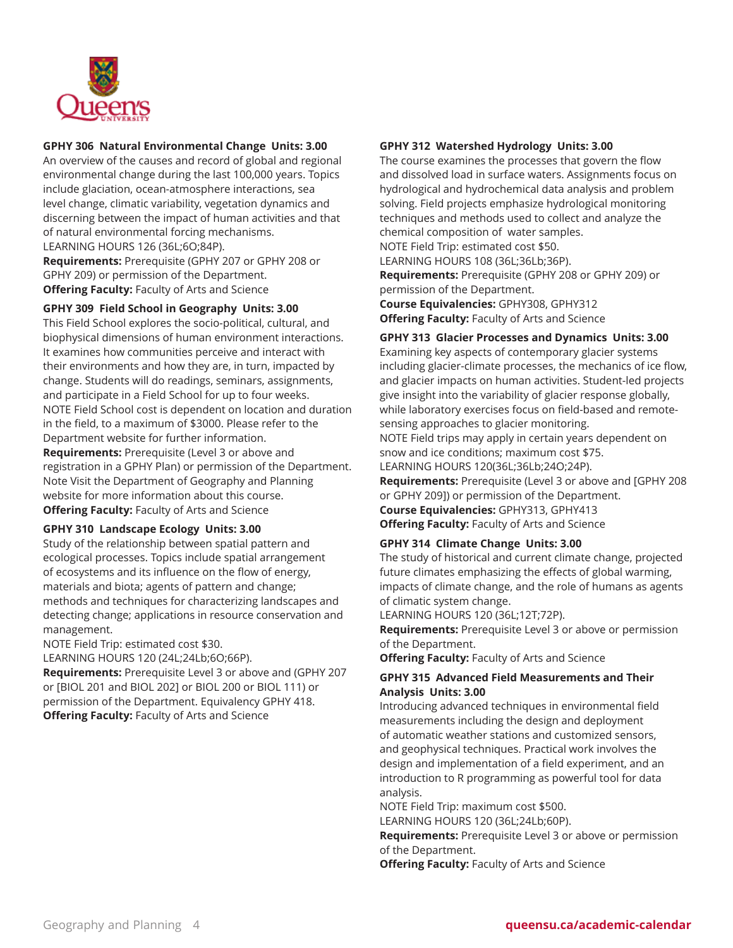

# **GPHY 306 Natural Environmental Change Units: 3.00**

An overview of the causes and record of global and regional environmental change during the last 100,000 years. Topics include glaciation, ocean-atmosphere interactions, sea level change, climatic variability, vegetation dynamics and discerning between the impact of human activities and that of natural environmental forcing mechanisms. LEARNING HOURS 126 (36L;6O;84P).

**Requirements:** Prerequisite (GPHY 207 or GPHY 208 or GPHY 209) or permission of the Department. **Offering Faculty:** Faculty of Arts and Science

# **GPHY 309 Field School in Geography Units: 3.00**

This Field School explores the socio-political, cultural, and biophysical dimensions of human environment interactions. It examines how communities perceive and interact with their environments and how they are, in turn, impacted by change. Students will do readings, seminars, assignments, and participate in a Field School for up to four weeks. NOTE Field School cost is dependent on location and duration in the field, to a maximum of \$3000. Please refer to the Department website for further information.

**Requirements:** Prerequisite (Level 3 or above and registration in a GPHY Plan) or permission of the Department. Note Visit the Department of Geography and Planning website for more information about this course. **Offering Faculty:** Faculty of Arts and Science

### **GPHY 310 Landscape Ecology Units: 3.00**

Study of the relationship between spatial pattern and ecological processes. Topics include spatial arrangement of ecosystems and its influence on the flow of energy, materials and biota; agents of pattern and change; methods and techniques for characterizing landscapes and detecting change; applications in resource conservation and management.

NOTE Field Trip: estimated cost \$30.

LEARNING HOURS 120 (24L;24Lb;6O;66P).

**Requirements:** Prerequisite Level 3 or above and (GPHY 207 or [BIOL 201 and BIOL 202] or BIOL 200 or BIOL 111) or permission of the Department. Equivalency GPHY 418. **Offering Faculty:** Faculty of Arts and Science

### **GPHY 312 Watershed Hydrology Units: 3.00**

The course examines the processes that govern the flow and dissolved load in surface waters. Assignments focus on hydrological and hydrochemical data analysis and problem solving. Field projects emphasize hydrological monitoring techniques and methods used to collect and analyze the chemical composition of water samples.

NOTE Field Trip: estimated cost \$50.

LEARNING HOURS 108 (36L;36Lb;36P). **Requirements:** Prerequisite (GPHY 208 or GPHY 209) or permission of the Department.

**Course Equivalencies:** GPHY308, GPHY312

**Offering Faculty:** Faculty of Arts and Science

# **GPHY 313 Glacier Processes and Dynamics Units: 3.00**

Examining key aspects of contemporary glacier systems including glacier-climate processes, the mechanics of ice flow, and glacier impacts on human activities. Student-led projects give insight into the variability of glacier response globally, while laboratory exercises focus on field-based and remotesensing approaches to glacier monitoring. NOTE Field trips may apply in certain years dependent on

snow and ice conditions; maximum cost \$75. LEARNING HOURS 120(36L;36Lb;24O;24P).

**Requirements:** Prerequisite (Level 3 or above and [GPHY 208

or GPHY 209]) or permission of the Department.

**Course Equivalencies:** GPHY313, GPHY413 **Offering Faculty:** Faculty of Arts and Science

#### **GPHY 314 Climate Change Units: 3.00**

The study of historical and current climate change, projected future climates emphasizing the effects of global warming, impacts of climate change, and the role of humans as agents of climatic system change.

LEARNING HOURS 120 (36L;12T;72P).

**Requirements:** Prerequisite Level 3 or above or permission of the Department.

**Offering Faculty:** Faculty of Arts and Science

# **GPHY 315 Advanced Field Measurements and Their Analysis Units: 3.00**

Introducing advanced techniques in environmental field measurements including the design and deployment of automatic weather stations and customized sensors, and geophysical techniques. Practical work involves the design and implementation of a field experiment, and an introduction to R programming as powerful tool for data analysis.

NOTE Field Trip: maximum cost \$500.

LEARNING HOURS 120 (36L;24Lb;60P).

**Requirements:** Prerequisite Level 3 or above or permission of the Department.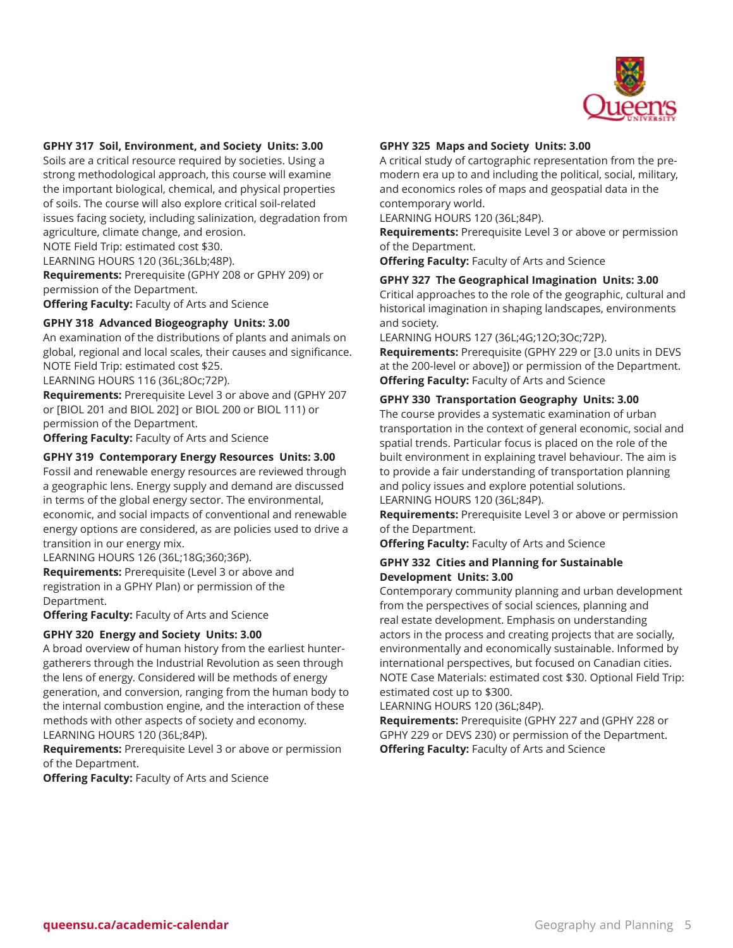

#### **GPHY 317 Soil, Environment, and Society Units: 3.00**

Soils are a critical resource required by societies. Using a strong methodological approach, this course will examine the important biological, chemical, and physical properties of soils. The course will also explore critical soil-related issues facing society, including salinization, degradation from agriculture, climate change, and erosion.

NOTE Field Trip: estimated cost \$30.

LEARNING HOURS 120 (36L;36Lb;48P).

**Requirements:** Prerequisite (GPHY 208 or GPHY 209) or permission of the Department.

**Offering Faculty:** Faculty of Arts and Science

#### **GPHY 318 Advanced Biogeography Units: 3.00**

An examination of the distributions of plants and animals on global, regional and local scales, their causes and significance. NOTE Field Trip: estimated cost \$25.

LEARNING HOURS 116 (36L;8Oc;72P).

**Requirements:** Prerequisite Level 3 or above and (GPHY 207 or [BIOL 201 and BIOL 202] or BIOL 200 or BIOL 111) or permission of the Department.

**Offering Faculty:** Faculty of Arts and Science

#### **GPHY 319 Contemporary Energy Resources Units: 3.00**

Fossil and renewable energy resources are reviewed through a geographic lens. Energy supply and demand are discussed in terms of the global energy sector. The environmental, economic, and social impacts of conventional and renewable energy options are considered, as are policies used to drive a transition in our energy mix.

LEARNING HOURS 126 (36L;18G;360;36P).

**Requirements:** Prerequisite (Level 3 or above and registration in a GPHY Plan) or permission of the Department.

**Offering Faculty:** Faculty of Arts and Science

#### **GPHY 320 Energy and Society Units: 3.00**

A broad overview of human history from the earliest huntergatherers through the Industrial Revolution as seen through the lens of energy. Considered will be methods of energy generation, and conversion, ranging from the human body to the internal combustion engine, and the interaction of these methods with other aspects of society and economy. LEARNING HOURS 120 (36L;84P).

**Requirements:** Prerequisite Level 3 or above or permission of the Department.

**Offering Faculty:** Faculty of Arts and Science

#### **GPHY 325 Maps and Society Units: 3.00**

A critical study of cartographic representation from the premodern era up to and including the political, social, military, and economics roles of maps and geospatial data in the contemporary world.

LEARNING HOURS 120 (36L;84P).

**Requirements:** Prerequisite Level 3 or above or permission of the Department.

**Offering Faculty:** Faculty of Arts and Science

#### **GPHY 327 The Geographical Imagination Units: 3.00**

Critical approaches to the role of the geographic, cultural and historical imagination in shaping landscapes, environments and society.

LEARNING HOURS 127 (36L;4G;12O;3Oc;72P).

**Requirements:** Prerequisite (GPHY 229 or [3.0 units in DEVS at the 200-level or above]) or permission of the Department. **Offering Faculty:** Faculty of Arts and Science

#### **GPHY 330 Transportation Geography Units: 3.00**

The course provides a systematic examination of urban transportation in the context of general economic, social and spatial trends. Particular focus is placed on the role of the built environment in explaining travel behaviour. The aim is to provide a fair understanding of transportation planning and policy issues and explore potential solutions. LEARNING HOURS 120 (36L;84P).

**Requirements:** Prerequisite Level 3 or above or permission of the Department.

**Offering Faculty:** Faculty of Arts and Science

#### **GPHY 332 Cities and Planning for Sustainable Development Units: 3.00**

Contemporary community planning and urban development from the perspectives of social sciences, planning and real estate development. Emphasis on understanding actors in the process and creating projects that are socially, environmentally and economically sustainable. Informed by international perspectives, but focused on Canadian cities. NOTE Case Materials: estimated cost \$30. Optional Field Trip: estimated cost up to \$300.

LEARNING HOURS 120 (36L;84P).

**Requirements:** Prerequisite (GPHY 227 and (GPHY 228 or GPHY 229 or DEVS 230) or permission of the Department. **Offering Faculty:** Faculty of Arts and Science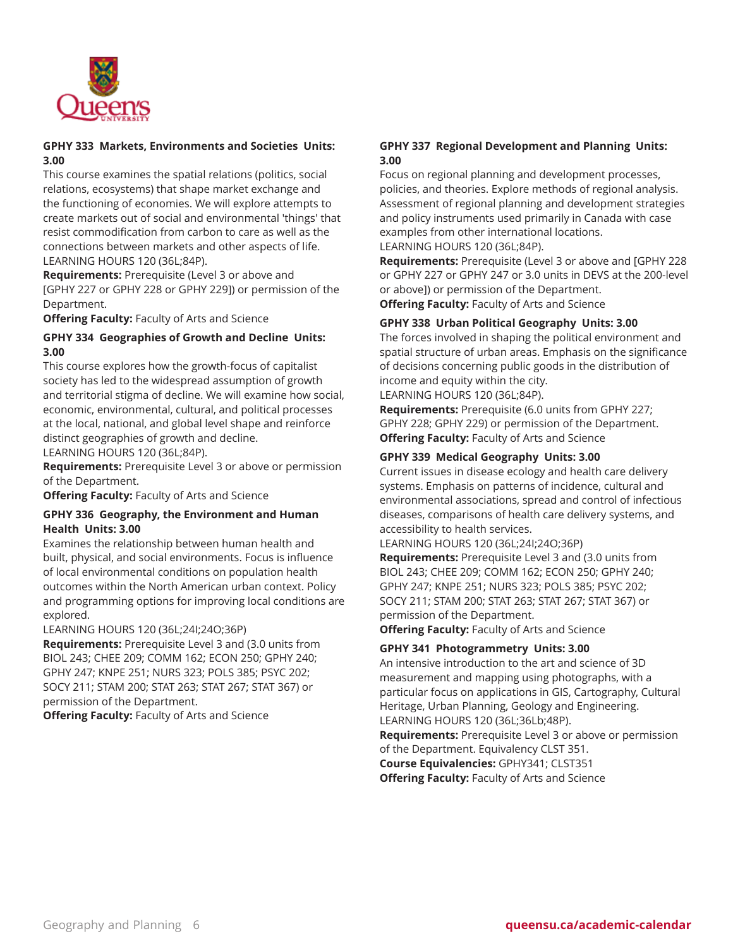

# **GPHY 333 Markets, Environments and Societies Units: 3.00**

This course examines the spatial relations (politics, social relations, ecosystems) that shape market exchange and the functioning of economies. We will explore attempts to create markets out of social and environmental 'things' that resist commodification from carbon to care as well as the connections between markets and other aspects of life. LEARNING HOURS 120 (36L;84P).

**Requirements:** Prerequisite (Level 3 or above and [GPHY 227 or GPHY 228 or GPHY 229]) or permission of the Department.

**Offering Faculty:** Faculty of Arts and Science

# **GPHY 334 Geographies of Growth and Decline Units: 3.00**

This course explores how the growth-focus of capitalist society has led to the widespread assumption of growth and territorial stigma of decline. We will examine how social, economic, environmental, cultural, and political processes at the local, national, and global level shape and reinforce distinct geographies of growth and decline. LEARNING HOURS 120 (36L;84P).

**Requirements:** Prerequisite Level 3 or above or permission of the Department.

**Offering Faculty:** Faculty of Arts and Science

### **GPHY 336 Geography, the Environment and Human Health Units: 3.00**

Examines the relationship between human health and built, physical, and social environments. Focus is influence of local environmental conditions on population health outcomes within the North American urban context. Policy and programming options for improving local conditions are explored.

LEARNING HOURS 120 (36L;24I;24O;36P)

**Requirements:** Prerequisite Level 3 and (3.0 units from BIOL 243; CHEE 209; COMM 162; ECON 250; GPHY 240; GPHY 247; KNPE 251; NURS 323; POLS 385; PSYC 202; SOCY 211; STAM 200; STAT 263; STAT 267; STAT 367) or permission of the Department.

**Offering Faculty:** Faculty of Arts and Science

# **GPHY 337 Regional Development and Planning Units: 3.00**

Focus on regional planning and development processes, policies, and theories. Explore methods of regional analysis. Assessment of regional planning and development strategies and policy instruments used primarily in Canada with case examples from other international locations. LEARNING HOURS 120 (36L;84P).

**Requirements:** Prerequisite (Level 3 or above and [GPHY 228 or GPHY 227 or GPHY 247 or 3.0 units in DEVS at the 200-level

or above]) or permission of the Department. **Offering Faculty:** Faculty of Arts and Science

# **GPHY 338 Urban Political Geography Units: 3.00**

The forces involved in shaping the political environment and spatial structure of urban areas. Emphasis on the significance of decisions concerning public goods in the distribution of income and equity within the city.

LEARNING HOURS 120 (36L;84P).

**Requirements:** Prerequisite (6.0 units from GPHY 227; GPHY 228; GPHY 229) or permission of the Department. **Offering Faculty:** Faculty of Arts and Science

# **GPHY 339 Medical Geography Units: 3.00**

Current issues in disease ecology and health care delivery systems. Emphasis on patterns of incidence, cultural and environmental associations, spread and control of infectious diseases, comparisons of health care delivery systems, and accessibility to health services.

LEARNING HOURS 120 (36L;24I;24O;36P)

**Requirements:** Prerequisite Level 3 and (3.0 units from BIOL 243; CHEE 209; COMM 162; ECON 250; GPHY 240; GPHY 247; KNPE 251; NURS 323; POLS 385; PSYC 202; SOCY 211; STAM 200; STAT 263; STAT 267; STAT 367) or permission of the Department.

**Offering Faculty:** Faculty of Arts and Science

### **GPHY 341 Photogrammetry Units: 3.00**

An intensive introduction to the art and science of 3D measurement and mapping using photographs, with a particular focus on applications in GIS, Cartography, Cultural Heritage, Urban Planning, Geology and Engineering. LEARNING HOURS 120 (36L;36Lb;48P). **Requirements:** Prerequisite Level 3 or above or permission

of the Department. Equivalency CLST 351. **Course Equivalencies:** GPHY341; CLST351 **Offering Faculty:** Faculty of Arts and Science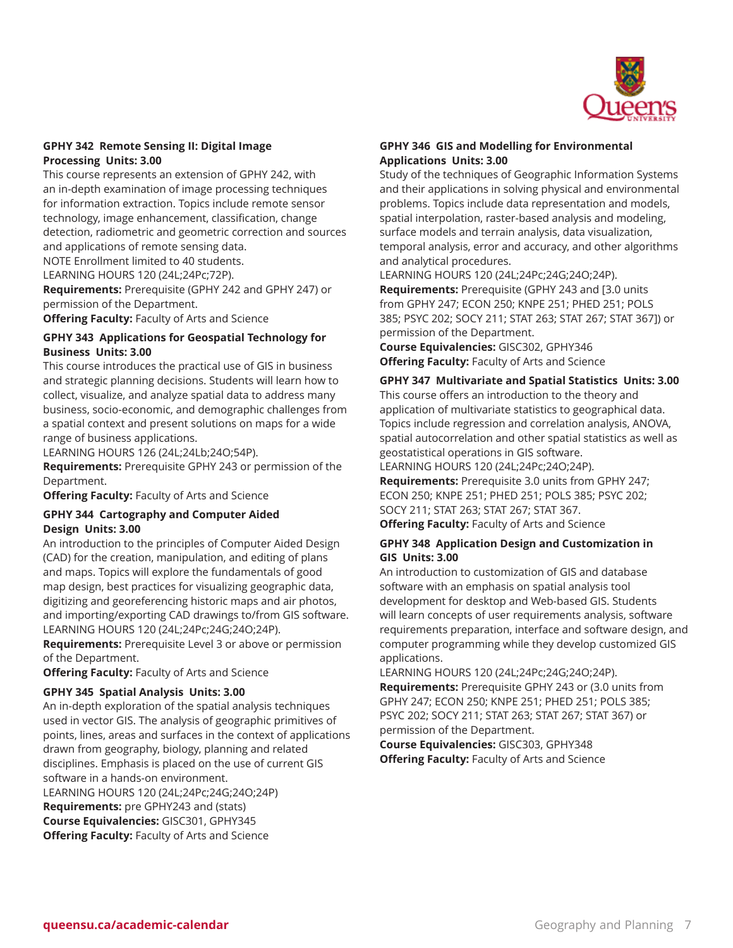

### **GPHY 342 Remote Sensing II: Digital Image Processing Units: 3.00**

This course represents an extension of GPHY 242, with an in-depth examination of image processing techniques for information extraction. Topics include remote sensor technology, image enhancement, classification, change detection, radiometric and geometric correction and sources and applications of remote sensing data.

NOTE Enrollment limited to 40 students.

LEARNING HOURS 120 (24L;24Pc;72P).

**Requirements:** Prerequisite (GPHY 242 and GPHY 247) or permission of the Department.

**Offering Faculty:** Faculty of Arts and Science

# **GPHY 343 Applications for Geospatial Technology for Business Units: 3.00**

This course introduces the practical use of GIS in business and strategic planning decisions. Students will learn how to collect, visualize, and analyze spatial data to address many business, socio-economic, and demographic challenges from a spatial context and present solutions on maps for a wide range of business applications.

LEARNING HOURS 126 (24L;24Lb;24O;54P).

**Requirements:** Prerequisite GPHY 243 or permission of the Department.

**Offering Faculty:** Faculty of Arts and Science

# **GPHY 344 Cartography and Computer Aided Design Units: 3.00**

An introduction to the principles of Computer Aided Design (CAD) for the creation, manipulation, and editing of plans and maps. Topics will explore the fundamentals of good map design, best practices for visualizing geographic data, digitizing and georeferencing historic maps and air photos, and importing/exporting CAD drawings to/from GIS software. LEARNING HOURS 120 (24L;24Pc;24G;24O;24P).

**Requirements:** Prerequisite Level 3 or above or permission of the Department.

**Offering Faculty:** Faculty of Arts and Science

### **GPHY 345 Spatial Analysis Units: 3.00**

An in-depth exploration of the spatial analysis techniques used in vector GIS. The analysis of geographic primitives of points, lines, areas and surfaces in the context of applications drawn from geography, biology, planning and related disciplines. Emphasis is placed on the use of current GIS software in a hands-on environment. LEARNING HOURS 120 (24L;24Pc;24G;24O;24P) **Requirements:** pre GPHY243 and (stats) **Course Equivalencies:** GISC301, GPHY345 **Offering Faculty:** Faculty of Arts and Science

#### **GPHY 346 GIS and Modelling for Environmental Applications Units: 3.00**

Study of the techniques of Geographic Information Systems and their applications in solving physical and environmental problems. Topics include data representation and models, spatial interpolation, raster-based analysis and modeling, surface models and terrain analysis, data visualization, temporal analysis, error and accuracy, and other algorithms and analytical procedures.

LEARNING HOURS 120 (24L;24Pc;24G;24O;24P). **Requirements:** Prerequisite (GPHY 243 and [3.0 units from GPHY 247; ECON 250; KNPE 251; PHED 251; POLS 385; PSYC 202; SOCY 211; STAT 263; STAT 267; STAT 367]) or permission of the Department.

**Course Equivalencies:** GISC302, GPHY346 **Offering Faculty:** Faculty of Arts and Science

#### **GPHY 347 Multivariate and Spatial Statistics Units: 3.00**

This course offers an introduction to the theory and application of multivariate statistics to geographical data. Topics include regression and correlation analysis, ANOVA, spatial autocorrelation and other spatial statistics as well as geostatistical operations in GIS software.

LEARNING HOURS 120 (24L;24Pc;24O;24P). **Requirements:** Prerequisite 3.0 units from GPHY 247; ECON 250; KNPE 251; PHED 251; POLS 385; PSYC 202; SOCY 211; STAT 263; STAT 267; STAT 367.

**Offering Faculty:** Faculty of Arts and Science

#### **GPHY 348 Application Design and Customization in GIS Units: 3.00**

An introduction to customization of GIS and database software with an emphasis on spatial analysis tool development for desktop and Web-based GIS. Students will learn concepts of user requirements analysis, software requirements preparation, interface and software design, and computer programming while they develop customized GIS applications.

LEARNING HOURS 120 (24L;24Pc;24G;24O;24P). **Requirements:** Prerequisite GPHY 243 or (3.0 units from GPHY 247; ECON 250; KNPE 251; PHED 251; POLS 385; PSYC 202; SOCY 211; STAT 263; STAT 267; STAT 367) or permission of the Department.

**Course Equivalencies:** GISC303, GPHY348 **Offering Faculty:** Faculty of Arts and Science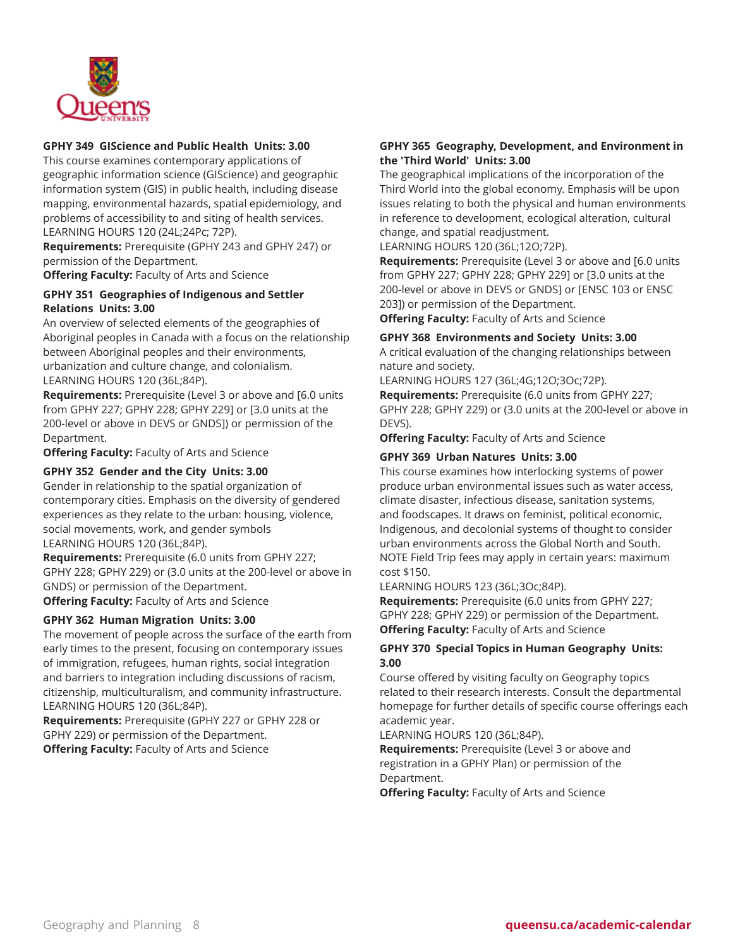

### **GPHY 349 GIScience and Public Health Units: 3.00**

This course examines contemporary applications of geographic information science (GIScience) and geographic information system (GIS) in public health, including disease mapping, environmental hazards, spatial epidemiology, and problems of accessibility to and siting of health services. LEARNING HOURS 120 (24L;24Pc; 72P).

**Requirements:** Prerequisite (GPHY 243 and GPHY 247) or permission of the Department.

**Offering Faculty:** Faculty of Arts and Science

# **GPHY 351 Geographies of Indigenous and Settler Relations Units: 3.00**

An overview of selected elements of the geographies of Aboriginal peoples in Canada with a focus on the relationship between Aboriginal peoples and their environments, urbanization and culture change, and colonialism. LEARNING HOURS 120 (36L;84P).

**Requirements:** Prerequisite (Level 3 or above and [6.0 units from GPHY 227; GPHY 228; GPHY 229] or [3.0 units at the 200-level or above in DEVS or GNDS]) or permission of the Department.

**Offering Faculty:** Faculty of Arts and Science

### **GPHY 352 Gender and the City Units: 3.00**

Gender in relationship to the spatial organization of contemporary cities. Emphasis on the diversity of gendered experiences as they relate to the urban: housing, violence, social movements, work, and gender symbols LEARNING HOURS 120 (36L;84P).

**Requirements:** Prerequisite (6.0 units from GPHY 227; GPHY 228; GPHY 229) or (3.0 units at the 200-level or above in GNDS) or permission of the Department.

**Offering Faculty:** Faculty of Arts and Science

# **GPHY 362 Human Migration Units: 3.00**

The movement of people across the surface of the earth from early times to the present, focusing on contemporary issues of immigration, refugees, human rights, social integration and barriers to integration including discussions of racism, citizenship, multiculturalism, and community infrastructure. LEARNING HOURS 120 (36L;84P).

**Requirements:** Prerequisite (GPHY 227 or GPHY 228 or GPHY 229) or permission of the Department. **Offering Faculty:** Faculty of Arts and Science

# **GPHY 365 Geography, Development, and Environment in the 'Third World' Units: 3.00**

The geographical implications of the incorporation of the Third World into the global economy. Emphasis will be upon issues relating to both the physical and human environments in reference to development, ecological alteration, cultural change, and spatial readjustment.

LEARNING HOURS 120 (36L;12O;72P).

**Requirements:** Prerequisite (Level 3 or above and [6.0 units from GPHY 227; GPHY 228; GPHY 229] or [3.0 units at the 200-level or above in DEVS or GNDS] or [ENSC 103 or ENSC 203]) or permission of the Department.

**Offering Faculty:** Faculty of Arts and Science

### **GPHY 368 Environments and Society Units: 3.00**

A critical evaluation of the changing relationships between nature and society.

LEARNING HOURS 127 (36L;4G;12O;3Oc;72P).

**Requirements:** Prerequisite (6.0 units from GPHY 227; GPHY 228; GPHY 229) or (3.0 units at the 200-level or above in DEVS).

**Offering Faculty:** Faculty of Arts and Science

### **GPHY 369 Urban Natures Units: 3.00**

This course examines how interlocking systems of power produce urban environmental issues such as water access, climate disaster, infectious disease, sanitation systems, and foodscapes. It draws on feminist, political economic, Indigenous, and decolonial systems of thought to consider urban environments across the Global North and South. NOTE Field Trip fees may apply in certain years: maximum cost \$150.

LEARNING HOURS 123 (36L;3Oc;84P).

**Requirements:** Prerequisite (6.0 units from GPHY 227; GPHY 228; GPHY 229) or permission of the Department. **Offering Faculty:** Faculty of Arts and Science

# **GPHY 370 Special Topics in Human Geography Units: 3.00**

Course offered by visiting faculty on Geography topics related to their research interests. Consult the departmental homepage for further details of specific course offerings each academic year.

LEARNING HOURS 120 (36L;84P).

**Requirements:** Prerequisite (Level 3 or above and registration in a GPHY Plan) or permission of the Department.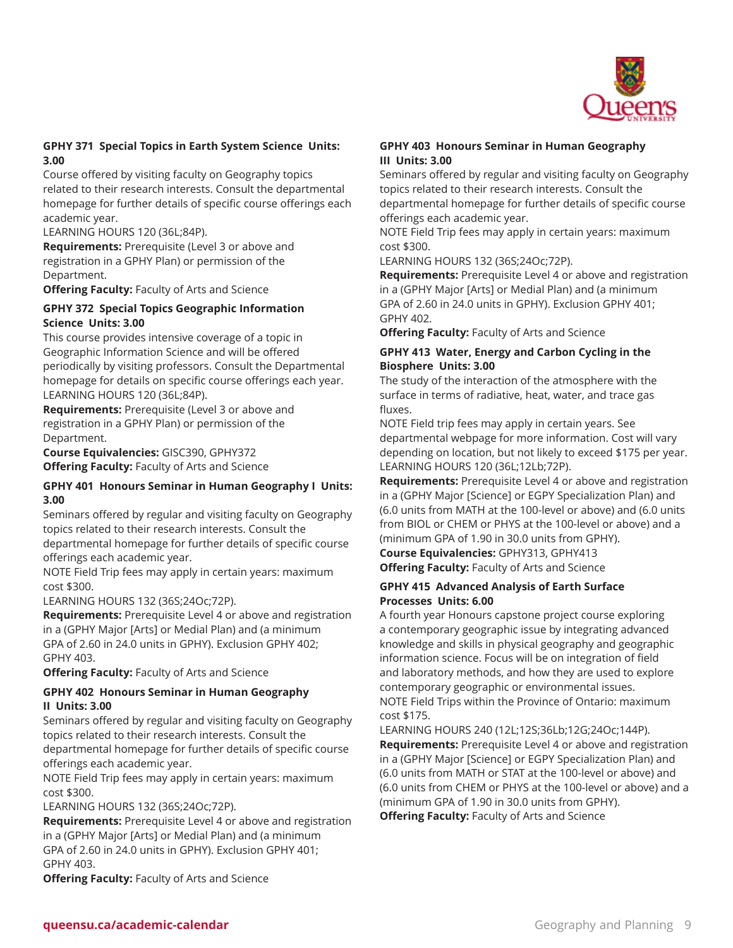

# **GPHY 371 Special Topics in Earth System Science Units: 3.00**

Course offered by visiting faculty on Geography topics related to their research interests. Consult the departmental homepage for further details of specific course offerings each academic year.

LEARNING HOURS 120 (36L;84P).

**Requirements:** Prerequisite (Level 3 or above and registration in a GPHY Plan) or permission of the Department.

**Offering Faculty:** Faculty of Arts and Science

# **GPHY 372 Special Topics Geographic Information Science Units: 3.00**

This course provides intensive coverage of a topic in Geographic Information Science and will be offered periodically by visiting professors. Consult the Departmental homepage for details on specific course offerings each year. LEARNING HOURS 120 (36L;84P).

**Requirements:** Prerequisite (Level 3 or above and registration in a GPHY Plan) or permission of the Department.

**Course Equivalencies:** GISC390, GPHY372 **Offering Faculty:** Faculty of Arts and Science

# **GPHY 401 Honours Seminar in Human Geography I Units: 3.00**

Seminars offered by regular and visiting faculty on Geography topics related to their research interests. Consult the departmental homepage for further details of specific course offerings each academic year.

NOTE Field Trip fees may apply in certain years: maximum cost \$300.

LEARNING HOURS 132 (36S;24Oc;72P).

**Requirements:** Prerequisite Level 4 or above and registration in a (GPHY Major [Arts] or Medial Plan) and (a minimum GPA of 2.60 in 24.0 units in GPHY). Exclusion GPHY 402; GPHY 403.

**Offering Faculty:** Faculty of Arts and Science

# **GPHY 402 Honours Seminar in Human Geography II Units: 3.00**

Seminars offered by regular and visiting faculty on Geography topics related to their research interests. Consult the departmental homepage for further details of specific course offerings each academic year.

NOTE Field Trip fees may apply in certain years: maximum cost \$300.

LEARNING HOURS 132 (36S;24Oc;72P).

**Requirements:** Prerequisite Level 4 or above and registration in a (GPHY Major [Arts] or Medial Plan) and (a minimum GPA of 2.60 in 24.0 units in GPHY). Exclusion GPHY 401; GPHY 403.

**Offering Faculty:** Faculty of Arts and Science

## **GPHY 403 Honours Seminar in Human Geography III Units: 3.00**

Seminars offered by regular and visiting faculty on Geography topics related to their research interests. Consult the departmental homepage for further details of specific course offerings each academic year.

NOTE Field Trip fees may apply in certain years: maximum cost \$300.

LEARNING HOURS 132 (36S;24Oc;72P).

**Requirements:** Prerequisite Level 4 or above and registration in a (GPHY Major [Arts] or Medial Plan) and (a minimum GPA of 2.60 in 24.0 units in GPHY). Exclusion GPHY 401; GPHY 402.

**Offering Faculty:** Faculty of Arts and Science

# **GPHY 413 Water, Energy and Carbon Cycling in the Biosphere Units: 3.00**

The study of the interaction of the atmosphere with the surface in terms of radiative, heat, water, and trace gas fluxes.

NOTE Field trip fees may apply in certain years. See departmental webpage for more information. Cost will vary depending on location, but not likely to exceed \$175 per year. LEARNING HOURS 120 (36L;12Lb;72P).

**Requirements:** Prerequisite Level 4 or above and registration in a (GPHY Major [Science] or EGPY Specialization Plan) and (6.0 units from MATH at the 100-level or above) and (6.0 units from BIOL or CHEM or PHYS at the 100-level or above) and a (minimum GPA of 1.90 in 30.0 units from GPHY). **Course Equivalencies:** GPHY313, GPHY413 **Offering Faculty:** Faculty of Arts and Science

# **GPHY 415 Advanced Analysis of Earth Surface Processes Units: 6.00**

A fourth year Honours capstone project course exploring a contemporary geographic issue by integrating advanced knowledge and skills in physical geography and geographic information science. Focus will be on integration of field and laboratory methods, and how they are used to explore contemporary geographic or environmental issues. NOTE Field Trips within the Province of Ontario: maximum cost \$175.

LEARNING HOURS 240 (12L;12S;36Lb;12G;24Oc;144P). **Requirements:** Prerequisite Level 4 or above and registration in a (GPHY Major [Science] or EGPY Specialization Plan) and (6.0 units from MATH or STAT at the 100-level or above) and (6.0 units from CHEM or PHYS at the 100-level or above) and a (minimum GPA of 1.90 in 30.0 units from GPHY).